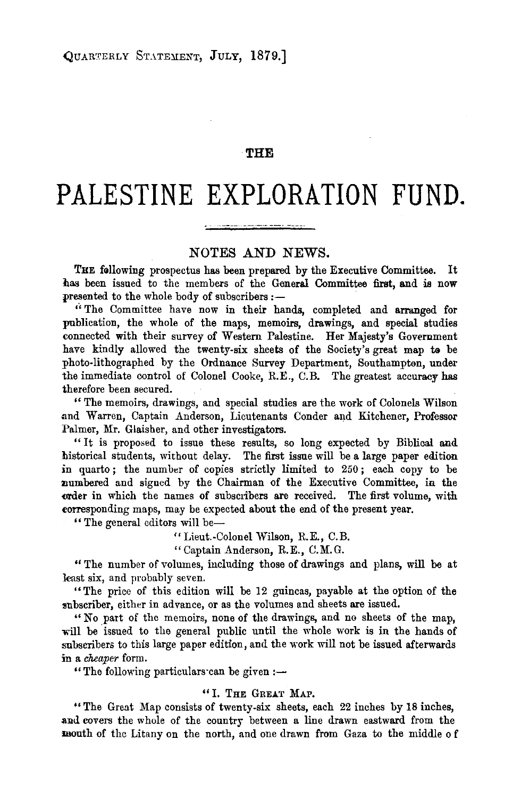## **THE**

# **PALESTINE EXPLORATION FUND.**

# NOTES AND NEWS.

THE following prospectus has been prepared by the Executive Committee. It has been issued to the members of the General Committee first, and is now presented to the whole body of subscribers:-

''The Committee have now in their hands, completed and arranged for publication, the whole of the maps, memoirs, drawings, and special studies connected with their survey of Western Palestine. Her Majesty's Government have kindly allowed the twenty-six sheets of the Society's great map to be photo-lithographed by the Ordnance Survey Department, Southampten, under the immediate control of Colonel Cooke, R.E., C.B. The greatest accuracy has therefore been secured.

"The memoirs, drawings, and special studies are the work of Colonels Wilson and Warren, Captain Anderson, Lieutenants Conder and Kitchener, Professor Palmer, Mr. Glaisher, and other investigators.

" It is proposed to issue these results, so long expected by Biblical and. historical students, without delay. The first issue will be a large paper edition in quarto; the number of copies strictly limited to 250; each copy to be numbered and signed by the Chairman of the Executive Committee, in the order in which the names of subscribers are received. The first volume, with corresponding maps, may be expected about the end of the present year.

" The general editors will be-

" Lieut.-Colonel Wilson, R.E., C. B.

"Captain Anderson, R.E., C.M.G.

"The number of volumes, including those of drawings and plans, will be at least six, and probably seven.

"The price of this edition will be 12 guineas, payable at the option of the subscriber, either in advance, or as the volumes and sheets are issued.

"No part of the memoirs, none of the drawings, and no sheets of the map, will be issued to the general public until the whole work is in the hands of subscribers to this large paper edition, and the work will not be issued afterwards in a *cheaper* form.

"The following particulars can be given: $-$ 

#### " I. THE GREAT MAP.

"The Great Map consists of twenty-six sheets, each 22 inches by 18 inches, and covers the whole of the country between a line drawn eastward from the mouth of the Litany on the north, and one drawn from Gaza to the middle o f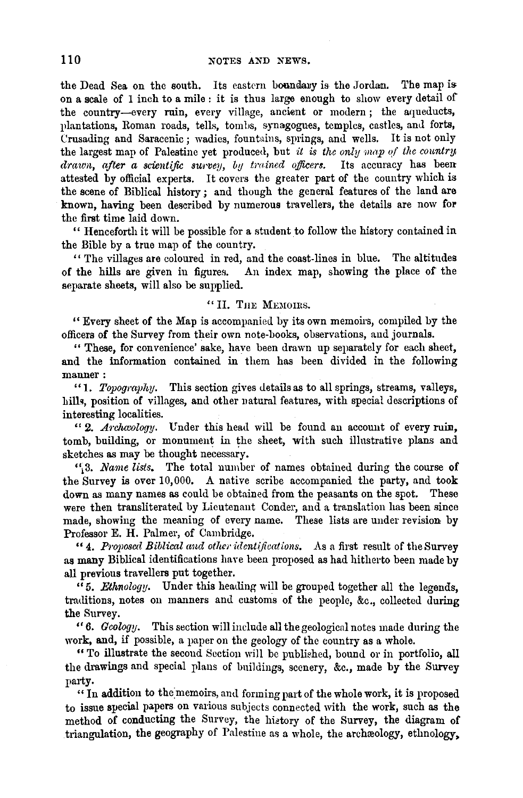the Dead Sea on the south. Its eastern boundary is the Jordan. The map is on a seale of 1 inch to a mile : it is thus large enough to show every detail of the country-every ruin, every village, ancient or modern; the aqueducts, plantations, Roman roads, tells, tomls, synagogues, temples, castles, and forts, Crusading and Saracenic; wadies, fountains, springs, and wells. It is not only the largest map of Palestine yet produced, but *it is the only map of the country drawn, after a scientific surven*, *but trained officers.* Its accuracy has been drawn, after a scientific surven, *by trained officers*. attested by official experts. It covers the greater part of the country which is the scene of Biblical history; and though the general features of the land are known, having been described by numerous travellers, the details are now for the first time laid down.

'' Henceforth it will be possible for a student to follow the history contained in the Bible by a true map of the country.

'' The villages are coloured in red, and the coast. lines in blue. The altitudes of the hills are given in figures. An index map, showing the place of the separate sheets, will also be supplied.

## " II. THE MEMOIRS.

" Every sheet of the Map is accompanied by its own memoirs, compiled by the officers of the Survey from their own note-books, observations, and journals.

" These, for convenience' sake, have been drawn up separately for each sheet, and the information contained in them has been divided in the following manner:

"1. *Topography*. This section gives details as to all springs, streams, valleys, hills, position of villages, and other natural features, with special descriptions of interesting localities.

"2. *Arclucology.* Under this head will be found an account of every ruin, tomb, building, or monument in the sheet, with such illustrative plans and sketches as may be thought necessary.

'\ 3. *Name lists.* 'l'he total number of names obtained during the course of the Survey is over 10,000. A native scribe accompanied the party, and took down as many names as could be obtained from the peasants on the spot. These were then transliterated by Lieutenant Conder, and a translation has been since made, showing the meaning of every name. These lists are under revision by Professor E. H. Palmer, of Cambridge.

"4. Proposed Biblical and other identifications. As a first result of the Survey as many Biblical identifications have been proposed as had hitherto been made by all previous travellers put together.

"5. *Ethnology.* Under this heading will be grouped together all the legends, traditions, notes on manners and customs of the people, &c., collected during the Survey.

"6. *Geology.* This section will include all the geological notes made during the work, and, if possible, a paper on the geology of the country as a whole.

" To illustrate the second Section will be published, bound or in portfolio, all the drawings and special plans of buildings, scenery, &c., made by the Survey party.

" In addition to the memoirs, and forming part of the whole work, it is proposed to issue special papers on various subjects connected with the work, such as the method of conducting the Survey, the history of the Survey, the diagram of triangulation, the geography of Palestine as a whole, the archreology, ethnology,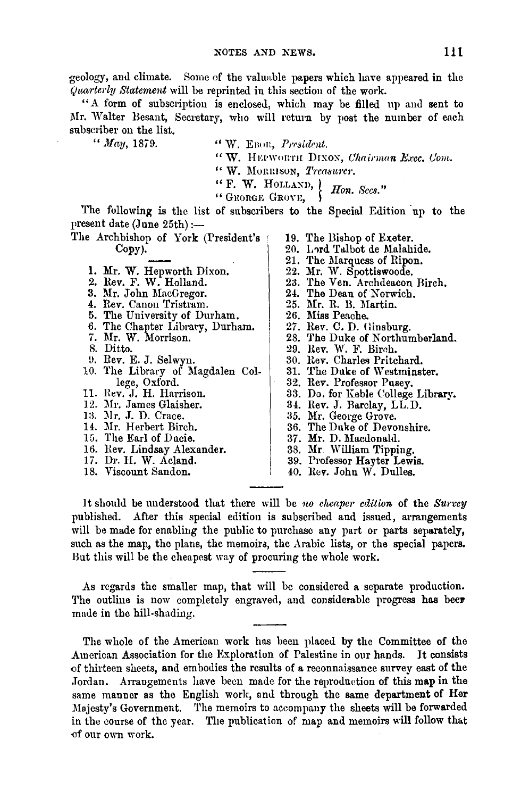geology, anu climate. Some of the valuable papers which have appeared in the *Quarterly Statement* will be reprinted in this section of the work.

"A form of subscription is enclosed, which may be filled up and sent to Mr. Walter Besant, Secretary, who will return by post the number of each subscriber on the list.

*"May,* 1879. " W. Enon, *Prrsident.*  "W. HEPWORTH DIXON, *Chairman Exec. Com.* " W. MORRISON, *Treasurer*.  $``$  F. W. HOLLAND,  $'$  *Hon. Secs.*"

The following is the list of subscribers to the Special Edition up to the present date (June 25th) :-

- The Archbishop of York (President's Copy).
	- 1. Mr. W. Hepworth Dixon.<br>2. Rev. F. W. Holland.<br>3. Mr. John MacGregor.
	-
	-
	- 4. Rev. Canon Tristram.
	- 5. The University of Durham.
	- 6. The Chapter Library, Durham.
	- 7. Mr. W. Morrison.
	- 8. Ditto.
	- 9. Rev. E. J. Selwyn.
	- 10. The Library of Magdalen College, Oxford.<br>11. Rev. J. H. Harrison.<br>12. Mr. James Glaisher.
	-
	-
	- 13. Mr. J. D. Crace.<br>14. Mr. Herbert Birch.
	-
	- 15. The Earl of Ducie.
	- 16. Rev. Lindsay Alexander.
	- 17. Dr. H. W. Acland.
	- 18. Viscount Sandon.

19. The Bishop of Exeter. 20. Lord Talbot de Malahide. 21. The Marquess of Ripon. 22. Mr. W. Spottiswoode.<br>23. The Ven. Archdeacon Birch.<br>24. The Dean of Norwich. 25. Mr. R. B. Martin. 26. Miss Peache. 27. Rev. C. D. Ginsburg. 28. The Duke of Northumberland. 29. Rev. W. F. Birch. 30. Rev. Charles Pritchard. 31. The Duke of Westminster. 32. Rev. Professor Pusey. 33. Do. for Keble College Library. 34. Rev. J. Barclay, LL.D.<br>35. Mr. George Grove.<br>36. The Duke of Devonshire. 37. Mr. D. Macdonald. 38. Mr. William Tipping. 39. Professor Hayter Lewis. 40. Rev. John W. Dulles.

It should be understood that there will be *no cheaper edition* of the *Survey* published. After this special edition is subscribed and issued, arrangements will be made for enabling the public to purchase any part or parts separately, such as the map, the plans, the memoirs, the Arabic lists, or the special papers. But this will be the cheapest way of procuring the whole work.

As regards the smaller map, that will be considered a separate production. The outline is now completely engraved, and considerable progress has beer made in the hill-shading.

The whole of the American work has been placed by the Committee of the American Association for the Exploration of Palestine in our hands. It consists ()f thirteen sheets, and embodies the results of a reconnaissance survey east of the Jordan. Arrangements have been made for the reproduction of this map in the same manner as the English work, and through the same department of Her Majesty's Government. The memoirs to accompany the sheets will be forwarded in the course of the year. The publication of map and memoirs will follow that of our own work.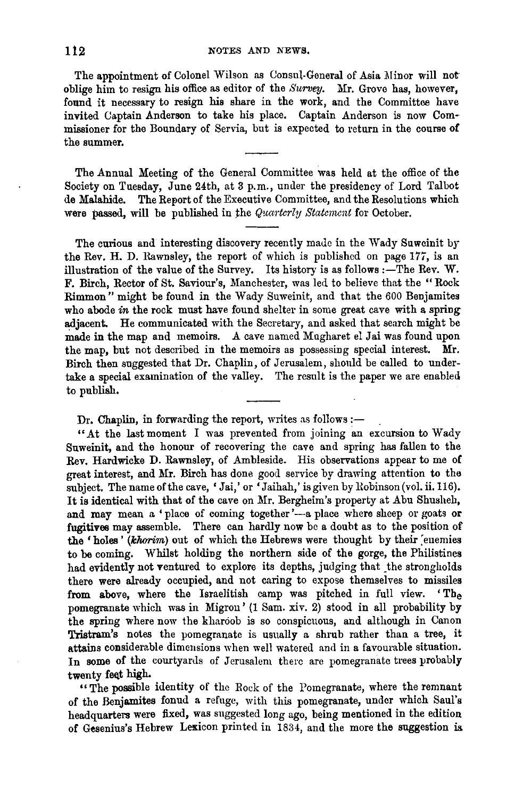The appointment of Colonel Wilson as Consul-General of Asia Minor will not oblige him to resign his office as editor of the *Survey*. Mr. Grove has, however, found it necessary to resign his share in the work, and the Committee have invited Captain Anderson to take his place. Captain Anderson is now Commissioner for the Boundary of Servia, but is expected to return in the course of the summer.

The Annual Meeting of the General Committee was held at the office of the Society on Tuesday, June 24th, at 3 p.m., under the presidency of Lord Talbot de Malahide. The Report of the Executive Committee, and the Resolutions which were passed, will be published in the *Quarterly Statement* for October.

The curious and interesting discovery recently made in the Wady Suwcinit br the Rev. H. D. Rawnsley, the report of which is published on page 177, is an illustration of the value of the Survey. Its history is as follows :- The Rev. W. F. Birch, Rector of St. Saviour's, Manchester, was led to believe that the "Rock Rimmon" might be found in the Wady Suweinit, and that the 600 Benjamites who abode *in* the rock must have found shelter in some great cave with a spring adjacent. He communicated with the Secretary, and asked that search might be made in the map and memoirs. A cave named Mugharet el Jai was found upon the map, but not described in the memoirs as possessing special interest. Mr. Birch then suggested that Dr. Chaplin, of Jerusalem, should be called to undertake a special examination of the valley. The result is the paper we are enabled to publish.

Dr. Chaplin, in forwarding the report, writes as follows :-

"At the last moment I was prevented from joining an excursion to Wady Suweinit, and the honour of recovering the cave and spring has fallen to the Rev. Hardwicke D. Rawnsley, of Ambleside. His observations appear to me of great interest, and Mr. Birch has done good service by drawing attention to the subject. The name of the cave, 'Jai,' or 'Jaihah,' is given by Robinson (vol. ii. 116). It is identical with that of the cave on Mr. Bergheim's property at Abu Shusheh, and may mean a 'place of coming together'-a place where sheep or goats or fugitives may assemble. There can hardly now be a doubt as to the position of the 'holes' (khorim) out of which the Hebrews were thought by their enemies to be coming. Whilst holding the northern side of the gorge, the Philistines had evidently not ventured to explore its depths, judging that the strongholds there were already occupied, and not caring to expose themselves to missiles from above, where the Israelitish camp was pitched in full view. 'The pomegranate which was in Migron' (1 Sam. xiv. 2) stood in all probability by the spring where now the kharoob is so conspicuous, and although in Canon Tristram's notes the pomegranate is usually a shrub rather than a tree, it attains considerable dimensions when well watered and in a favourable situation. In some of the courtyards of Jerusalem there are pomegranate trees probably twenty feet high.

"The possible identity of the Rock of the Pomegranate, where the remnant of the Benjamites fonud a refuge, with this pomegranate, under which Saul's headquarters were fixed, was suggested long ago, being mentioned in the edition of Gesenius's Hebrew Lexicon printed in 1834, and the more the suggestion is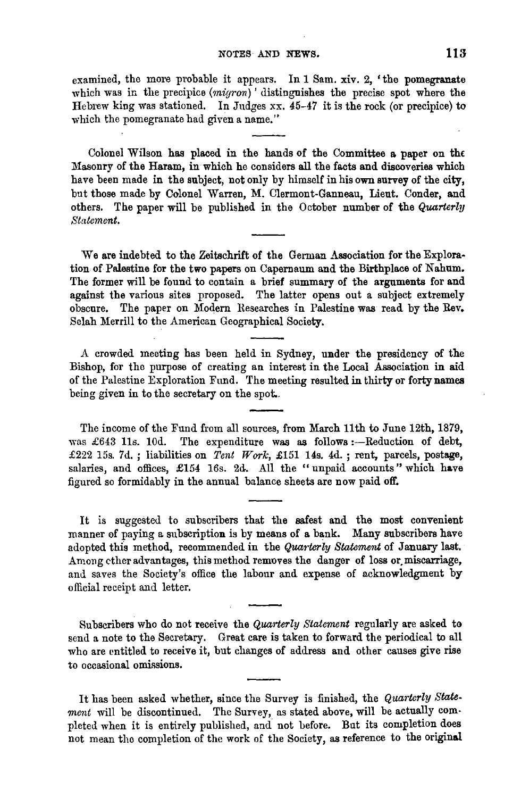examined, the more probable it appears. In  $1 \text{ Sam. } xiv.$  2, 'the pomegranate which was in the precipice  $(marrow)$  distinguishes the precise spot where the Hebrew king was stationed. In Judges xx. 45-47 it is the rock (or precipice) to which the pomegranate had given a name."

Colonel Wilson has placed in the hands of the Committee a paper on the Masonry of the Haram, in which he considers all the facts and discoveries which have been made in the subject, not only by himself in his own survey of the city, but those made by Colonel Warren, M. Clermont-Ganneau, Lieut. Conder, and others. The paper will be published in the October number of the *Quarterly Statement.* 

We are indebted to the Zeitschrift of the German Association for the Exploration of Palestine for the two papers on Capernaum and the Birthplace of Nahum. The former will be found to contain a brief summary of the arguments for and against the various sites proposed. The latter opens out a subject extremely obscure. The paper on Modern Researches in Palestine was read by the Rev. Selah Merrill to the American Geographical Society.

A crowded meeting has been held in Sydney, under the presidency of the Bishop, for the purpose of creating an interest in the Local Association in aid of the Palestine Exploration Fund. The meeting resulted in thirty or forty names being given in to the secretary on the spot..

The income of the Fund from all sources, from March 11th to June 12th, 1879, was  $£643$  11s. 10d. The expenditure was as follows :--Reduction of debt, £222 15s. 7d.; liabilities on *Tent Work,* £151 14s. 4d.; rent, parcels, postage, salaries, and offices, £154 16s. 2d. All the "unpaid accounts" which have figured so formidably in the annual balance sheets are now paid off.

It is suggested to subscribers that the safest and the most convenient manner of paying a subscription is by means of a bank. Many subscribers have adopted this method, recommended in the *Quarterly Statement* of January last. Among ether advantages, this method removes the danger of loss or miscarriage, and saves the Society's office the labour and expense of acknowledgment by official receipt and letter.

Subscribers who do not receive the *Quarterly Statement* regularly are asked to send a note to the Secretary. Great care is taken to forward the periodical to all who are entitled to receive it, but changes of address and other causes give rise to occasional omissions.

It has been asked whether, since the Survey is finished, the *Quarterly Statement* will be discontinued. The Survey, as stated above, will be actually completed when it is entirely published, and. not before. But its completion does not mean the completion of the work of the Society, as reference to the original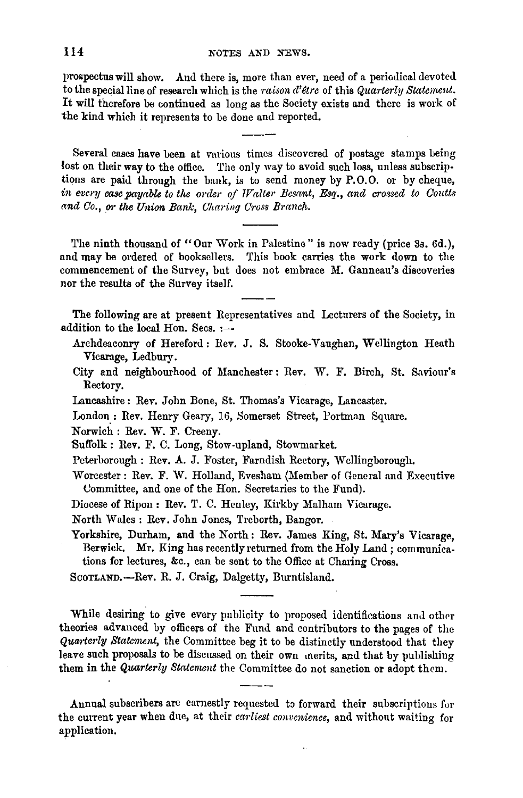prospectus will show. And there is, more than ever, need of a periodical devoted to the special line of research which is the *raison d' et re* of this *Quarterly Stateuwnt.*  It will therefore be continued as long as the Society exists and there is work of the kind which it represents to be done and reported.

Several cases have been at various times discovered of postage stamps being lost on their way to the office. The only way to avoid such loss, unless subscriptions are paid through the bank, is to send money by P.O.O. or by cheque, in every case payable to the order of *Walter Besant*, Esq., and crossed to Coutts  $\alpha$ nd Co., or the Union Bank, Charing Cross Branch.

The ninth thousand of "Our Work in Palestine" is now ready (price 3s. 6d.), and may be ordered of booksellers. This book carries the work down to the commencement of the Survey, but does not embrace M. Ganneau's discoveries nor the results of the Survey itself.

The following are at present Representatives and Lecturers of the Society, in addition to the local Hon. Secs.  $:$ --

- Archdeaconry of Hereford: Rev. J. S. Stooke-Vaughan, Wellington Heath Vicarage, Ledbury.
- City and neighbourhood of Manchester: Rev. W. F. Birch, St. Saviour's Rectory.
- Lancashire: Rev. John Bone, St. Thomas's Vicarage, Lancaster.
- London.: Rev. Henry Geary, 16, Somerset Street, Portman Square.

Norwich: Rev. W. F. Creeny.

- Suffolk : Rev. F. C. Long, Stow.upland, Stowmarket.
- Peterborough: Rev. A. J. Foster, Farndish Rectory, Wellingborough.
- Worcester: Rev. F. W. Holland, Evesham (Member of General and Executive Uommittee, and one of the Hon. Secretaries to the Fund).
- Diocese of Ripon: Rev. T. C. Henley, Kirkby Malham Vicarage.

North Wales: Rev. John Jones, Treborth, Bangor.

Yorkshire, Durham, and the North: Rev. James King, St. Mary's Vicarage, Berwick. Mr. King has recently returned from the Holy Land ; communications for lectures, &c., can be sent to the Office at Charing Cross.

SCOTLAND.-Rev. R. J. Craig, Dalgetty, Burntisland.

While desiring to give every publicity to proposed identifications and other theories advanced by officers of the Fund and contributors to the pages of the *Qua?·te1·ly Statenwnt,* the Committee beg it to be distinctly understood that they leave such proposals to be discussed on their own merits, and that by publishing them in the *Quarterly Statement* the Committee do not sanction or adopt them.

Annual subscribers are earnestly requested to forward their subscriptions for the current year when due, at their *carliest convenience*, and without waiting for application.